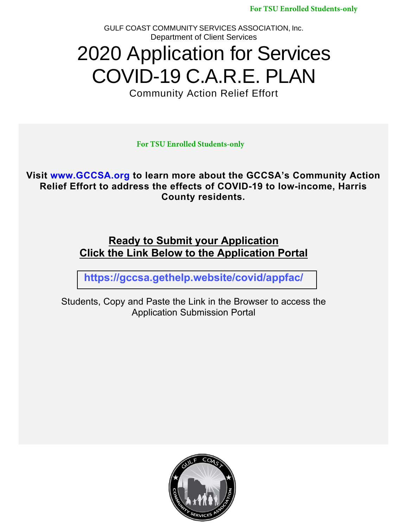**For TSU Enrolled Students-only**

GULF COAST COMMUNITY SERVICES ASSOCIATION, Inc. Department of Client Services

# 2020 Application for Services COVID-19 C.A.R.E. PLAN

Community Action Relief Effort

**For TSU Enrolled Students-only**

**Visit [www.GCCSA.org](http://www.gccsa.org/) to learn more about the GCCSA's Community Action Relief Effort to address the effects of COVID-19 to low-income, Harris County residents.**

## **Ready to Submit your Application Click the Link Below to the Application Portal**

**<https://gccsa.gethelp.website/covid/appfac/>**

Students, Copy and Paste the Link in the Browser to access the Application Submission Portal

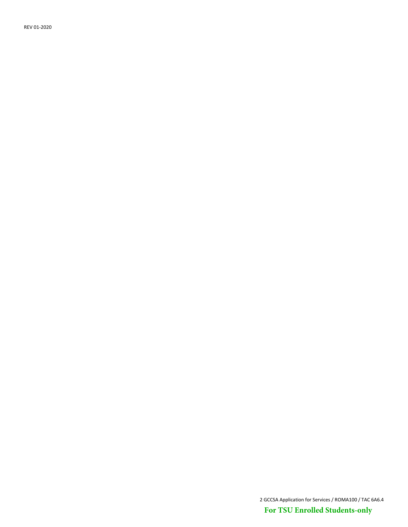REV 01-2020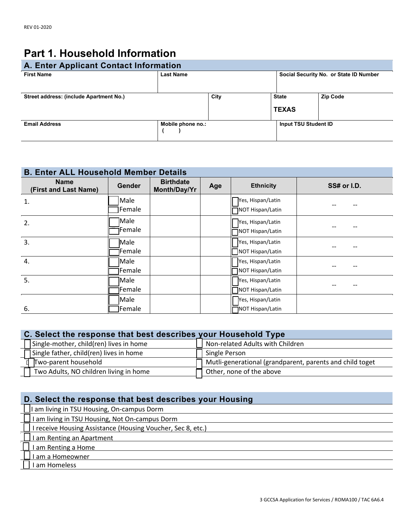## **Part 1. Household Information**

| A. Enter Applicant Contact Information  |                   |      |                                        |                 |  |
|-----------------------------------------|-------------------|------|----------------------------------------|-----------------|--|
| <b>First Name</b>                       | <b>Last Name</b>  |      | Social Security No. or State ID Number |                 |  |
| Street address: (include Apartment No.) |                   | City | <b>State</b><br><b>TEXAS</b>           | <b>Zip Code</b> |  |
| <b>Email Address</b>                    | Mobile phone no.: |      | Input TSU Student ID                   |                 |  |

#### **B. Enter ALL Household Member Details**

| <b>Name</b><br>(First and Last Name) | <b>Gender</b>   | <b>Birthdate</b><br>Month/Day/Yr | Age | <b>Ethnicity</b>  | SS# or I.D. |
|--------------------------------------|-----------------|----------------------------------|-----|-------------------|-------------|
| 1.                                   | Male            |                                  |     | Yes, Hispan/Latin |             |
|                                      | Female          |                                  |     | NOT Hispan/Latin  |             |
| 2.                                   | Male            |                                  |     | Yes, Hispan/Latin |             |
|                                      | Female          |                                  |     | NOT Hispan/Latin  |             |
| 3.                                   | Male            |                                  |     | Yes, Hispan/Latin |             |
|                                      | <b>Female</b>   |                                  |     | NOT Hispan/Latin  |             |
| 4.                                   | Male            |                                  |     | Yes, Hispan/Latin |             |
|                                      | Female          |                                  |     | NOT Hispan/Latin  |             |
| 5.                                   | Male            |                                  |     | Yes, Hispan/Latin |             |
|                                      | <b>Female</b>   |                                  |     | NOT Hispan/Latin  |             |
|                                      | Male            |                                  |     | Yes, Hispan/Latin |             |
| 6.                                   | <b>T</b> Female |                                  |     | NOT Hispan/Latin  |             |

| C. Select the response that best describes your Household Type |                                                          |  |  |  |
|----------------------------------------------------------------|----------------------------------------------------------|--|--|--|
| . I Single-mother, child(ren) lives in home                    | Non-related Adults with Children                         |  |  |  |
| Single father, child(ren) lives in home                        | Single Person                                            |  |  |  |
| Two-parent household                                           | Mutli-generational (grandparent, parents and child toget |  |  |  |
| Two Adults, NO children living in home                         | Other, none of the above                                 |  |  |  |

#### **D. Select the response that best describes your Housing**

- □I am living in TSU Housing, On-campus Dorm
- I am living in TSU Housing, Not On-campus Dorm
- I receive Housing Assistance (Housing Voucher, Sec 8, etc.)
- **I am Renting an Apartment**
- I am Renting a Home
- I am a Homeowner
- I am Homeless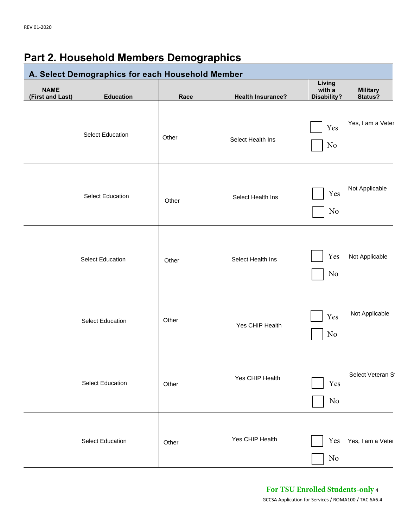# **Part 2. Household Members Demographics**

| A. Select Demographics for each Household Member |                         |       |                          |                                 |                            |
|--------------------------------------------------|-------------------------|-------|--------------------------|---------------------------------|----------------------------|
| <b>NAME</b><br>(First and Last)                  | <b>Education</b>        | Race  | <b>Health Insurance?</b> | Living<br>with a<br>Disability? | <b>Military</b><br>Status? |
|                                                  | <b>Select Education</b> | Other | Select Health Ins        | Yes<br>No                       | Yes, I am a Veter          |
|                                                  | <b>Select Education</b> | Other | Select Health Ins        | Yes<br>No                       | Not Applicable             |
|                                                  | <b>Select Education</b> | Other | Select Health Ins        | Yes<br>$\rm No$                 | Not Applicable             |
|                                                  | <b>Select Education</b> | Other | Yes CHIP Health          | Yes<br>$\rm No$                 | Not Applicable             |
|                                                  | <b>Select Education</b> | Other | Yes CHIP Health          | Yes<br>$\rm No$                 | Select Veteran St          |
|                                                  | <b>Select Education</b> | Other | Yes CHIP Health          | Yes<br>No                       | Yes, I am a Veter          |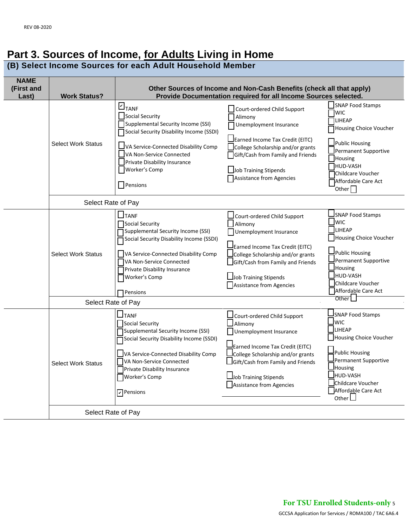## **Part 3. Sources of Income, for Adults Living in Home**

**(B) Select Income Sources for each Adult Household Member**

| <b>NAME</b><br>(First and<br>Last) | <b>Work Status?</b>                             | Other Sources of Income and Non-Cash Benefits (check all that apply)<br>Provide Documentation required for all Income Sources selected.                                                                                                                        |                                                                                                                                                                                                                                    |                                                                                                                                                                                                                                            |  |  |
|------------------------------------|-------------------------------------------------|----------------------------------------------------------------------------------------------------------------------------------------------------------------------------------------------------------------------------------------------------------------|------------------------------------------------------------------------------------------------------------------------------------------------------------------------------------------------------------------------------------|--------------------------------------------------------------------------------------------------------------------------------------------------------------------------------------------------------------------------------------------|--|--|
|                                    | <b>Select Work Status</b>                       | $L_{\text{TANF}}$<br>Social Security<br>Supplemental Security Income (SSI)<br>Social Security Disability Income (SSDI)<br>$\Box$ VA Service-Connected Disability Comp<br>VA Non-Service Connected<br>Private Disability Insurance<br>Worker's Comp<br>Pensions | Court-ordered Child Support<br>Alimony<br>Unemployment Insurance<br>Earned Income Tax Credit (EITC)<br>College Scholarship and/or grants<br>Gift/Cash from Family and Friends<br>Job Training Stipends<br>Assistance from Agencies | <b>SNAP Food Stamps</b><br><b>WIC</b><br><b>LIHEAP</b><br>Housing Choice Voucher<br>Public Housing<br>Permanent Supportive<br>Housing<br>HUD-VASH<br>Childcare Voucher<br>Affordable Care Act<br>Other $\Box$                              |  |  |
|                                    | Select Rate of Pay                              |                                                                                                                                                                                                                                                                |                                                                                                                                                                                                                                    |                                                                                                                                                                                                                                            |  |  |
|                                    | <b>Select Work Status</b><br>Select Rate of Pay | $\Box$ TANF<br>Social Security<br>Supplemental Security Income (SSI)<br>Social Security Disability Income (SSDI)<br>VA Service-Connected Disability Comp<br>VA Non-Service Connected<br>Private Disability Insurance<br>Worker's Comp<br><b>T</b> Pensions     | Court-ordered Child Support<br>Alimony<br>Unemployment Insurance<br>Earned Income Tax Credit (EITC)<br>College Scholarship and/or grants<br>Gift/Cash from Family and Friends<br>Job Training Stipends<br>Assistance from Agencies | SNAP Food Stamps<br><b>J</b> wic<br><b>LIHEAP</b><br>Housing Choice Voucher<br>Public Housing<br>Permanent Supportive<br>$\mathsf{\mathsf{\underline{J}}}$ Housing<br>HUD-VASH<br>Childcare Voucher<br>Affordable Care Act<br>Other $\Box$ |  |  |
|                                    | <b>Select Work Status</b>                       | $\Box$ TANF<br>Social Security<br>Supplemental Security Income (SSI)<br>Social Security Disability Income (SSDI)<br>VA Service-Connected Disability Comp<br>VA Non-Service Connected<br>Private Disability Insurance<br>Worker's Comp<br>$\nabla$ Pensions     | Court-ordered Child Support<br>Alimony<br>Unemployment Insurance<br>Earned Income Tax Credit (EITC)<br>College Scholarship and/or grants<br>Gift/Cash from Family and Friends<br>Job Training Stipends<br>Assistance from Agencies | <b>SNAP Food Stamps</b><br>Jwic<br><b>JLIHEAP</b><br>Housing Choice Voucher<br><b>Public Housing</b><br>Permanent Supportive<br><b>Housing</b><br>Jhud-vash<br>Childcare Voucher<br>Affordable Care Act<br>Other $\Box$                    |  |  |
|                                    | Select Rate of Pay                              |                                                                                                                                                                                                                                                                |                                                                                                                                                                                                                                    |                                                                                                                                                                                                                                            |  |  |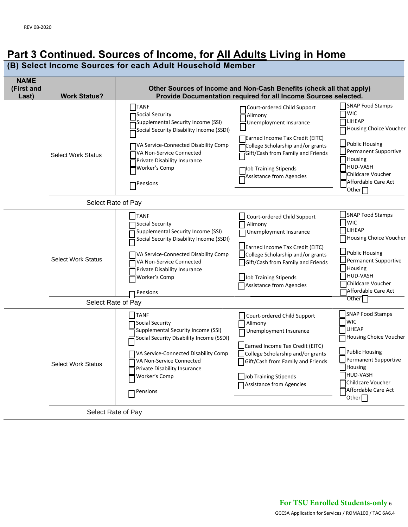## **Part 3 Continued. Sources of Income, for All Adults Living in Home**

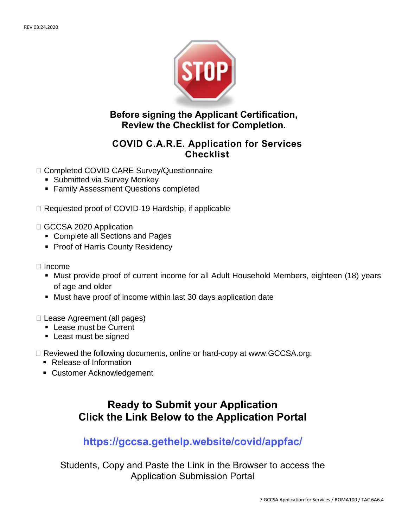

**Before signing the Applicant Certification, Review the Checklist for Completion.** 

#### **COVID C.A.R.E. Application for Services Checklist**

- □ Completed COVID CARE Survey/Questionnaire
	- **Submitted via Survey Monkey**
	- **Family Assessment Questions completed**
- $\Box$  Requested proof of COVID-19 Hardship, if applicable
- GCCSA 2020 Application
	- Complete all Sections and Pages
	- **Proof of Harris County Residency**
- Income
	- Must provide proof of current income for all Adult Household Members, eighteen (18) years of age and older
	- Must have proof of income within last 30 days application date
- □ Lease Agreement (all pages)
	- **Lease must be Current**
	- **Least must be signed**
- $\Box$  Reviewed the following documents, online or hard-copy at www.GCCSA.org:
	- Release of Information
	- Customer Acknowledgement

## **Ready to Submit your Application Click the Link Below to the Application Portal**

### **https://gccsa.gethelp.website/covid/appfac/**

Students, Copy and Paste the Li[nk in the Browser to a](http://www.gccsa.org/)ccess the Application Submission Portal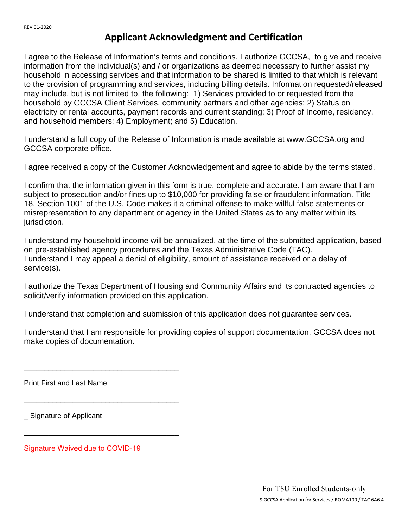### **Applicant Acknowledgment and Certification**

I agree to the Release of Information's terms and conditions. I authorize GCCSA, to give and receive information from the individual(s) and / or organizations as deemed necessary to further assist my household in accessing services and that information to be shared is limited to that which is relevant to the provision of programming and services, including billing details. Information requested/released may include, but is not limited to, the following: 1) Services provided to or requested from the household by GCCSA Client Services, community partners and other agencies; 2) Status on electricity or rental accounts, payment records and current standing; 3) Proof of Income, residency, and household members; 4) Employment; and 5) Education.

I understand a full copy of the Release of Information is made available at [www.GCCSA.org](http://www.gccsa.org/) and GCCSA corporate office.

I agree received a copy of the Customer Acknowledgement and agree to abide by the terms stated.

I confirm that the information given in this form is true, complete and accurate. I am aware that I am subject to prosecution and/or fines up to \$10,000 for providing false or fraudulent information. Title 18, Section 1001 of the U.S. Code makes it a criminal offense to make willful false statements or misrepresentation to any department or agency in the United States as to any matter within its jurisdiction.

I understand my household income will be annualized, at the time of the submitted application, based on pre-established agency procedures and the Texas Administrative Code (TAC). I understand I may appeal a denial of eligibility, amount of assistance received or a delay of service(s).

I authorize the Texas Department of Housing and Community Affairs and its contracted agencies to solicit/verify information provided on this application.

I understand that completion and submission of this application does not guarantee services.

I understand that I am responsible for providing copies of support documentation. GCCSA does not make copies of documentation.

Print First and Last Name

Signature of Applicant

Signature Waived due to COVID-19

\_\_\_\_\_\_\_\_\_\_\_\_\_\_\_\_\_\_\_\_\_\_\_\_\_\_\_\_\_\_\_\_\_\_\_\_\_\_

\_\_\_\_\_\_\_\_\_\_\_\_\_\_\_\_\_\_\_\_\_\_\_\_\_\_\_\_\_\_\_\_\_\_\_\_\_\_

\_\_\_\_\_\_\_\_\_\_\_\_\_\_\_\_\_\_\_\_\_\_\_\_\_\_\_\_\_\_\_\_\_\_\_\_\_\_